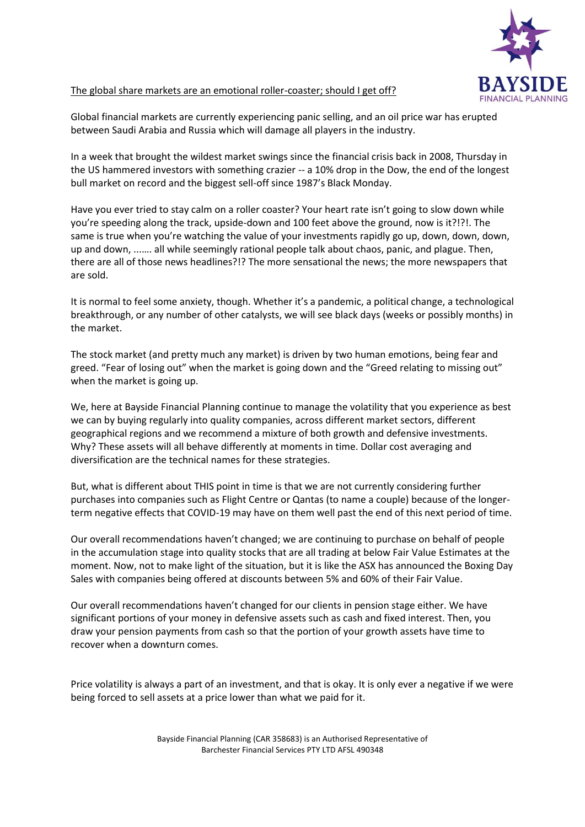

## The global share markets are an emotional roller-coaster; should I get off?

Global financial markets are currently experiencing panic selling, and an oil price war has erupted between Saudi Arabia and Russia which will damage all players in the industry.

In a week that brought the wildest market swings since the financial crisis back in 2008, Thursday in the US hammered investors with something crazier -- a 10% drop in the Dow, the end of the longest bull market on record and the biggest sell-off since 1987's Black Monday.

Have you ever tried to stay calm on a roller coaster? Your heart rate isn't going to slow down while you're speeding along the track, upside-down and 100 feet above the ground, now is it?!?!. The same is true when you're watching the value of your investments rapidly go up, down, down, down, up and down, ...…. all while seemingly rational people talk about chaos, panic, and plague. Then, there are all of those news headlines?!? The more sensational the news; the more newspapers that are sold.

It is normal to feel some anxiety, though. Whether it's a pandemic, a political change, a technological breakthrough, or any number of other catalysts, we will see black days (weeks or possibly months) in the market.

The stock market (and pretty much any market) is driven by two human emotions, being fear and greed. "Fear of losing out" when the market is going down and the "Greed relating to missing out" when the market is going up.

We, here at Bayside Financial Planning continue to manage the volatility that you experience as best we can by buying regularly into quality companies, across different market sectors, different geographical regions and we recommend a mixture of both growth and defensive investments. Why? These assets will all behave differently at moments in time. Dollar cost averaging and diversification are the technical names for these strategies.

But, what is different about THIS point in time is that we are not currently considering further purchases into companies such as Flight Centre or Qantas (to name a couple) because of the longerterm negative effects that COVID-19 may have on them well past the end of this next period of time.

Our overall recommendations haven't changed; we are continuing to purchase on behalf of people in the accumulation stage into quality stocks that are all trading at below Fair Value Estimates at the moment. Now, not to make light of the situation, but it is like the ASX has announced the Boxing Day Sales with companies being offered at discounts between 5% and 60% of their Fair Value.

Our overall recommendations haven't changed for our clients in pension stage either. We have significant portions of your money in defensive assets such as cash and fixed interest. Then, you draw your pension payments from cash so that the portion of your growth assets have time to recover when a downturn comes.

Price volatility is always a part of an investment, and that is okay. It is only ever a negative if we were being forced to sell assets at a price lower than what we paid for it.